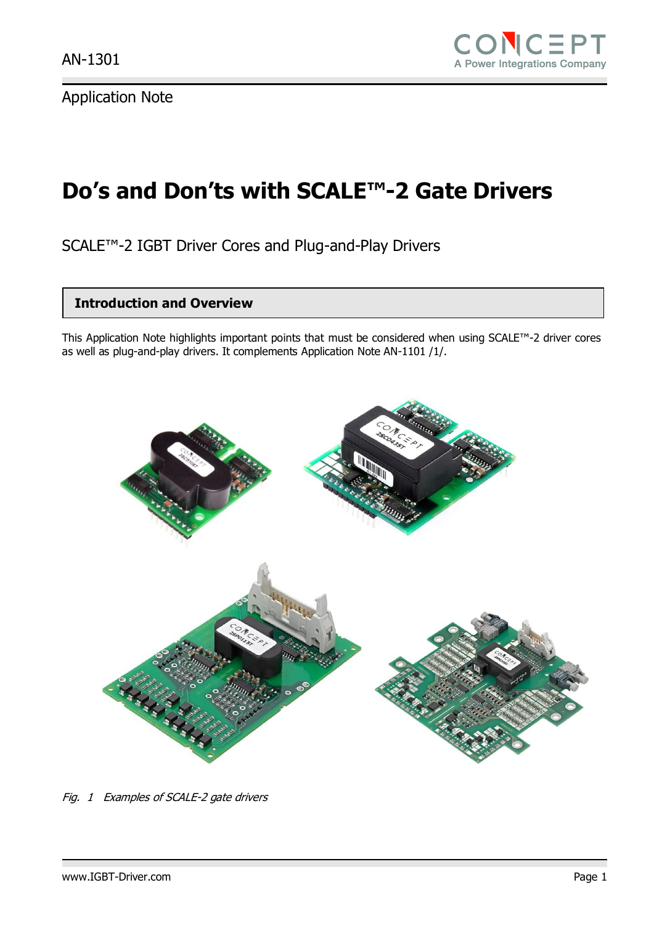# **Do's and Don'ts with SCALE™-2 Gate Drivers**

SCALE™-2 IGBT Driver Cores and Plug-and-Play Drivers

#### **Introduction and Overview**

This Application Note highlights important points that must be considered when using SCALE™-2 driver cores as well as plug-and-play drivers. It complements Application Note AN-1101 /1/.



Fig. 1 Examples of SCALE-2 gate drivers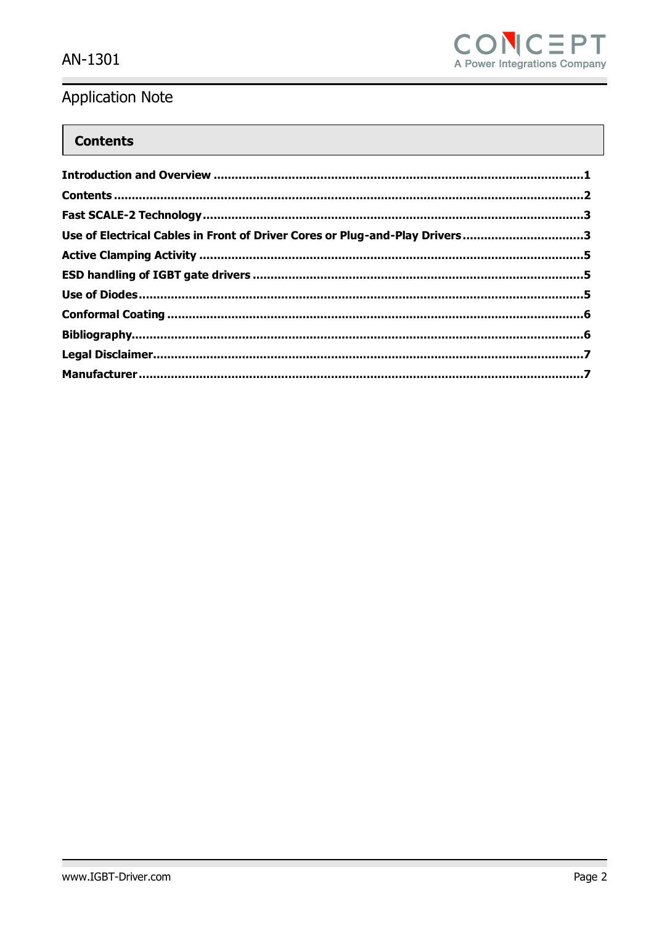

#### **Contents**

| Use of Electrical Cables in Front of Driver Cores or Plug-and-Play Drivers3 |  |
|-----------------------------------------------------------------------------|--|
|                                                                             |  |
|                                                                             |  |
|                                                                             |  |
|                                                                             |  |
|                                                                             |  |
|                                                                             |  |
|                                                                             |  |
|                                                                             |  |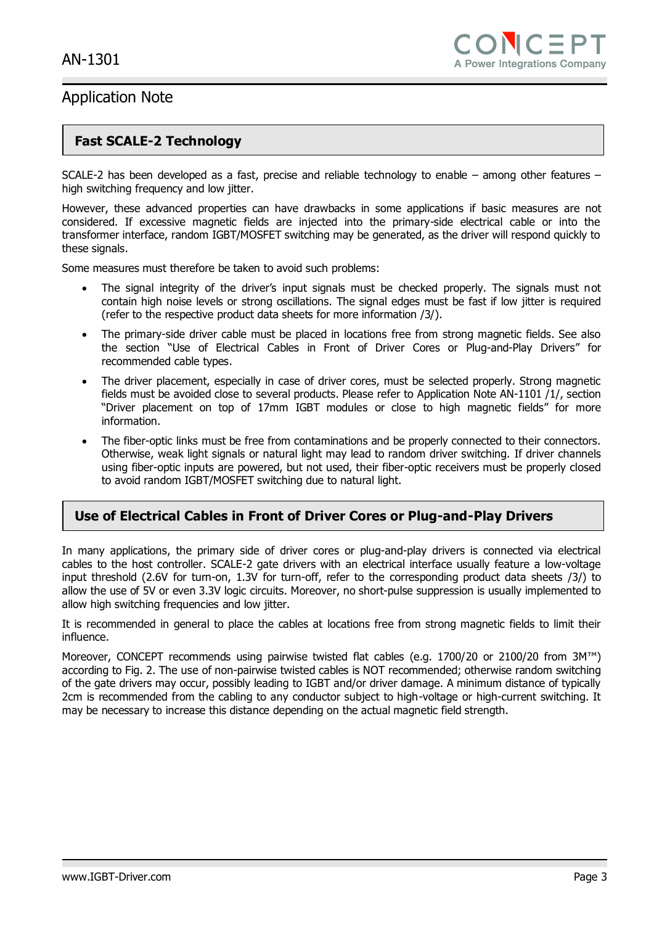#### **Fast SCALE-2 Technology**

SCALE-2 has been developed as a fast, precise and reliable technology to enable – among other features – high switching frequency and low jitter.

However, these advanced properties can have drawbacks in some applications if basic measures are not considered. If excessive magnetic fields are injected into the primary-side electrical cable or into the transformer interface, random IGBT/MOSFET switching may be generated, as the driver will respond quickly to these signals.

Some measures must therefore be taken to avoid such problems:

- The signal integrity of the driver's input signals must be checked properly. The signals must not contain high noise levels or strong oscillations. The signal edges must be fast if low jitter is required (refer to the respective product data sheets for more information /3/).
- The primary-side driver cable must be placed in locations free from strong magnetic fields. See also the section "Use of Electrical Cables in Front of [Driver Cores or Plug-and-Play Drivers](#page-2-0)" for recommended cable types.
- The driver placement, especially in case of driver cores, must be selected properly. Strong magnetic fields must be avoided close to several products. Please refer to Application Note AN-1101 /1/, section "Driver placement on top of 17mm IGBT modules or close to high magnetic fields" for more information.
- The fiber-optic links must be free from contaminations and be properly connected to their connectors. Otherwise, weak light signals or natural light may lead to random driver switching. If driver channels using fiber-optic inputs are powered, but not used, their fiber-optic receivers must be properly closed to avoid random IGBT/MOSFET switching due to natural light.

#### <span id="page-2-0"></span>**Use of Electrical Cables in Front of Driver Cores or Plug-and-Play Drivers**

In many applications, the primary side of driver cores or plug-and-play drivers is connected via electrical cables to the host controller. SCALE-2 gate drivers with an electrical interface usually feature a low-voltage input threshold (2.6V for turn-on, 1.3V for turn-off, refer to the corresponding product data sheets /3/) to allow the use of 5V or even 3.3V logic circuits. Moreover, no short-pulse suppression is usually implemented to allow high switching frequencies and low jitter.

It is recommended in general to place the cables at locations free from strong magnetic fields to limit their influence.

Moreover, CONCEPT recommends using pairwise twisted flat cables (e.g. 1700/20 or 2100/20 from 3M™) according to Fig. 2. The use of non-pairwise twisted cables is NOT recommended; otherwise random switching of the gate drivers may occur, possibly leading to IGBT and/or driver damage. A minimum distance of typically 2cm is recommended from the cabling to any conductor subject to high-voltage or high-current switching. It may be necessary to increase this distance depending on the actual magnetic field strength.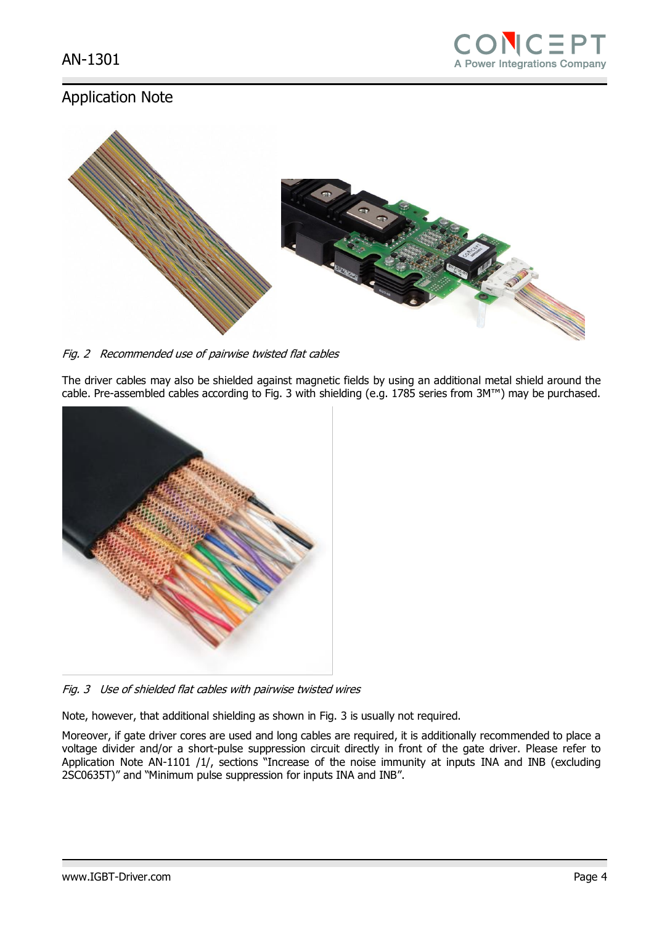

Fig. 2 Recommended use of pairwise twisted flat cables

The driver cables may also be shielded against magnetic fields by using an additional metal shield around the cable. Pre-assembled cables according to Fig. 3 with shielding (e.g. 1785 series from 3M™) may be purchased.



Fig. 3 Use of shielded flat cables with pairwise twisted wires

Note, however, that additional shielding as shown in Fig. 3 is usually not required.

Moreover, if gate driver cores are used and long cables are required, it is additionally recommended to place a voltage divider and/or a short-pulse suppression circuit directly in front of the gate driver. Please refer to Application Note AN-1101 /1/, sections "Increase of the noise immunity at inputs INA and INB (excluding 2SC0635T)" and "Minimum pulse suppression for inputs INA and INB".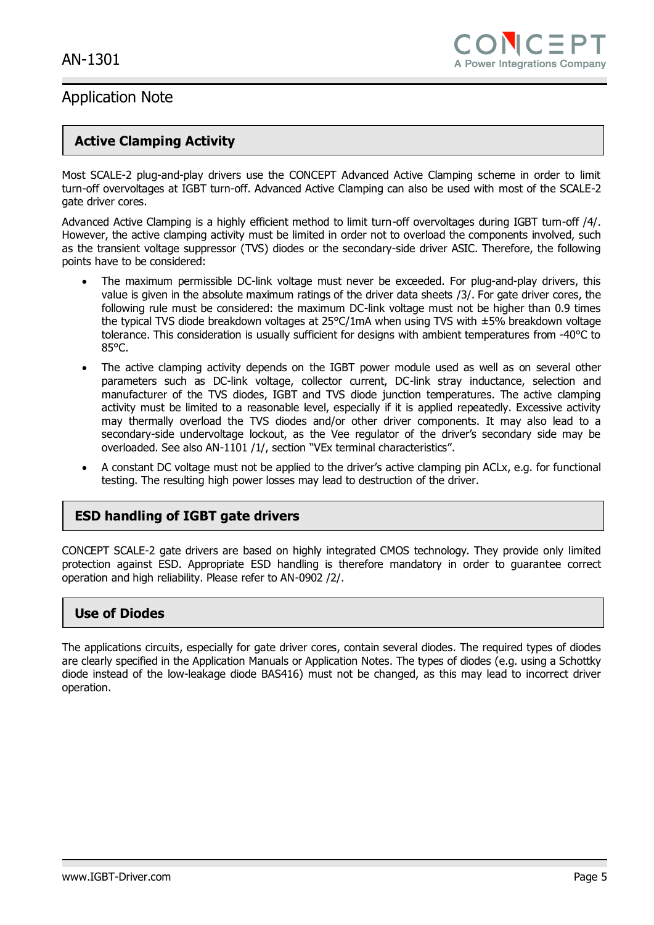#### **Active Clamping Activity**

Most SCALE-2 plug-and-play drivers use the CONCEPT Advanced Active Clamping scheme in order to limit turn-off overvoltages at IGBT turn-off. Advanced Active Clamping can also be used with most of the SCALE-2 gate driver cores.

Advanced Active Clamping is a highly efficient method to limit turn-off overvoltages during IGBT turn-off /4/. However, the active clamping activity must be limited in order not to overload the components involved, such as the transient voltage suppressor (TVS) diodes or the secondary-side driver ASIC. Therefore, the following points have to be considered:

- The maximum permissible DC-link voltage must never be exceeded. For plug-and-play drivers, this value is given in the absolute maximum ratings of the driver data sheets /3/. For gate driver cores, the following rule must be considered: the maximum DC-link voltage must not be higher than 0.9 times the typical TVS diode breakdown voltages at 25°C/1mA when using TVS with ±5% breakdown voltage tolerance. This consideration is usually sufficient for designs with ambient temperatures from -40°C to 85°C.
- The active clamping activity depends on the IGBT power module used as well as on several other parameters such as DC-link voltage, collector current, DC-link stray inductance, selection and manufacturer of the TVS diodes, IGBT and TVS diode junction temperatures. The active clamping activity must be limited to a reasonable level, especially if it is applied repeatedly. Excessive activity may thermally overload the TVS diodes and/or other driver components. It may also lead to a secondary-side undervoltage lockout, as the Vee regulator of the driver's secondary side may be overloaded. See also AN-1101 /1/, section "VEx terminal characteristics".
- A constant DC voltage must not be applied to the driver's active clamping pin ACLx, e.g. for functional testing. The resulting high power losses may lead to destruction of the driver.

#### **ESD handling of IGBT gate drivers**

CONCEPT SCALE-2 gate drivers are based on highly integrated CMOS technology. They provide only limited protection against ESD. Appropriate ESD handling is therefore mandatory in order to guarantee correct operation and high reliability. Please refer to AN-0902 /2/.

#### **Use of Diodes**

The applications circuits, especially for gate driver cores, contain several diodes. The required types of diodes are clearly specified in the Application Manuals or Application Notes. The types of diodes (e.g. using a Schottky diode instead of the low-leakage diode BAS416) must not be changed, as this may lead to incorrect driver operation.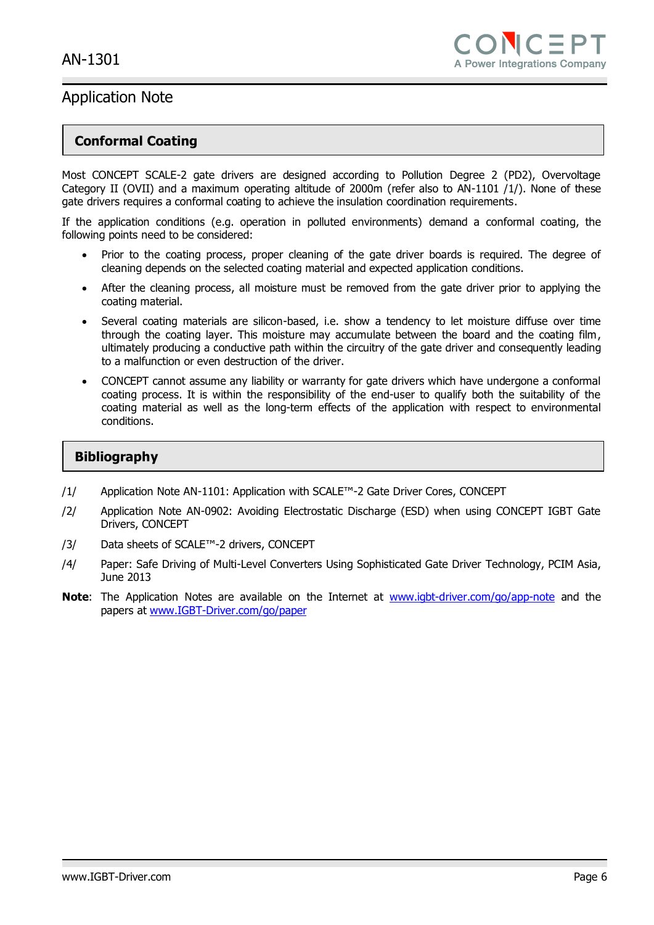#### **Conformal Coating**

Most CONCEPT SCALE-2 gate drivers are designed according to Pollution Degree 2 (PD2), Overvoltage Category II (OVII) and a maximum operating altitude of 2000m (refer also to AN-1101 /1/). None of these gate drivers requires a conformal coating to achieve the insulation coordination requirements.

If the application conditions (e.g. operation in polluted environments) demand a conformal coating, the following points need to be considered:

- Prior to the coating process, proper cleaning of the gate driver boards is required. The degree of cleaning depends on the selected coating material and expected application conditions.
- After the cleaning process, all moisture must be removed from the gate driver prior to applying the coating material.
- Several coating materials are silicon-based, i.e. show a tendency to let moisture diffuse over time through the coating layer. This moisture may accumulate between the board and the coating film, ultimately producing a conductive path within the circuitry of the gate driver and consequently leading to a malfunction or even destruction of the driver.
- CONCEPT cannot assume any liability or warranty for gate drivers which have undergone a conformal coating process. It is within the responsibility of the end-user to qualify both the suitability of the coating material as well as the long-term effects of the application with respect to environmental conditions.

#### **Bibliography**

- /1/ Application Note AN-1101: Application with SCALE™-2 Gate Driver Cores, CONCEPT
- /2/ Application Note AN-0902: Avoiding Electrostatic Discharge (ESD) when using CONCEPT IGBT Gate Drivers, CONCEPT
- /3/ Data sheets of SCALE™-2 drivers, CONCEPT
- /4/ Paper: Safe Driving of Multi-Level Converters Using Sophisticated Gate Driver Technology, PCIM Asia, June 2013
- **Note:** The Application Notes are available on the Internet at [www.igbt-driver.com/go/app-note](http://www.igbt-driver.com/go/app-note) and the papers at [www.IGBT-Driver.com/go/paper](http://www.igbt-driver.com/go/paper)